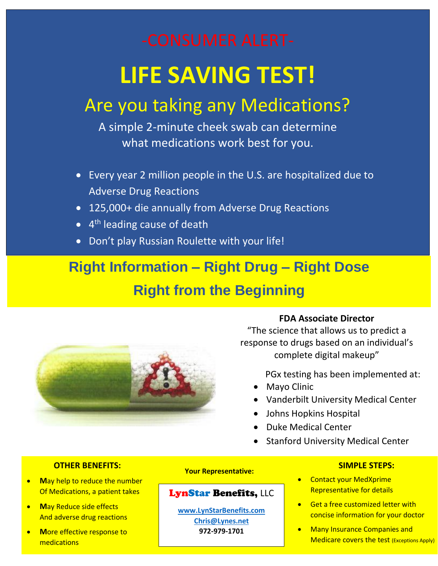# **LIFE SAVING TEST!**

# Are you taking any Medications?

A simple 2-minute cheek swab can determine what medications work best for you.

- Every year 2 million people in the U.S. are hospitalized due to Adverse Drug Reactions
- 125,000+ die annually from Adverse Drug Reactions
- 4<sup>th</sup> leading cause of death
- Don't play Russian Roulette with your life!

## **Right Information – Right Drug – Right Dose Right from the Beginning**



## **FDA Associate Director**

"The science that allows us to predict a response to drugs based on an individual's complete digital makeup"

PGx testing has been implemented at:

- Mayo Clinic
- Vanderbilt University Medical Center
- Johns Hopkins Hospital
- Duke Medical Center
- Stanford University Medical Center

## **OTHER BENEFITS:**

- **M**ay help to reduce the number Of Medications, a patient takes
- **M**ay Reduce side effects And adverse drug reactions
- **M**ore effective response to medications

#### **Your Representative:**

## LynStar Benefits, LLC

**[www.LynStarBenefits.com](http://www.lynstarbenefits.com/) [Chris@Lynes.net](mailto:Chris@Lynes.net) 972-979-1701**

#### **SIMPLE STEPS:**

- Contact your MedXprime Representative for details
- Get a free customized letter with concise information for your doctor
- Many Insurance Companies and Medicare covers the test (Exceptions Apply)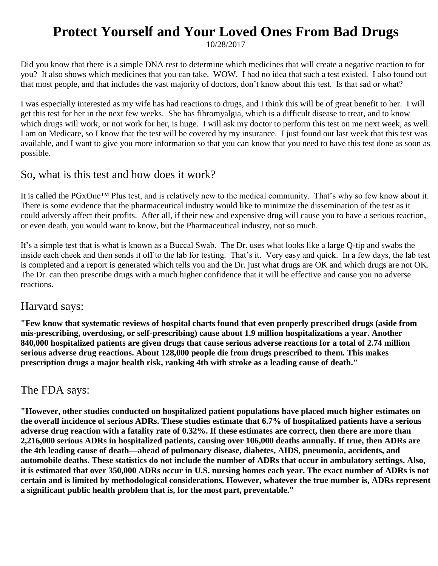## **Protect Yourself and Your Loved Ones From Bad Drugs**

10/28/2017

Did you know that there is a simple DNA rest to determine which medicines that will create a negative reaction to for you? It also shows which medicines that you can take. WOW. I had no idea that such a test existed. I also found out that most people, and that includes the vast majority of doctors, don't know about this test. Is that sad or what?

I was especially interested as my wife has had reactions to drugs, and I think this will be of great benefit to her. I will get this test for her in the next few weeks. She has fibromyalgia, which is a difficult disease to treat, and to know which drugs will work, or not work for her, is huge. I will ask my doctor to perform this test on me next week, as well. I am on Medicare, so I know that the test will be covered by my insurance. I just found out last week that this test was available, and I want to give you more information so that you can know that you need to have this test done as soon as possible.

## So, what is this test and how does it work?

It is called the PGxOne™ Plus test, and is relatively new to the medical community. That's why so few know about it. There is some evidence that the pharmaceutical industry would like to minimize the dissemination of the test as it could adversly affect their profits. After all, if their new and expensive drug will cause you to have a serious reaction, or even death, you would want to know, but the Pharmaceutical industry, not so much.

It's a simple test that is what is known as a Buccal Swab. The Dr. uses what looks like a large Q-tip and swabs the inside each cheek and then sends it off to the lab for testing. That's it. Very easy and quick. In a few days, the lab test is completed and a report is generated which tells you and the Dr. just what drugs are OK and which drugs are not OK. The Dr. can then prescribe drugs with a much higher confidence that it will be effective and cause you no adverse reactions.

## Harvard says:

**"Few know that systematic reviews of hospital charts found that even properly prescribed drugs (aside from mis-prescribing, overdosing, or self-prescribing) cause about 1.9 million hospitalizations a year. Another 840,000 hospitalized patients are given drugs that cause serious adverse reactions for a total of 2.74 million serious adverse drug reactions. About 128,000 people die from drugs prescribed to them. This makes prescription drugs a major health risk, ranking 4th with stroke as a leading cause of death."** 

## The FDA says:

**"However, other studies conducted on hospitalized patient populations have placed much higher estimates on the overall incidence of serious ADRs. These studies estimate that 6.7% of hospitalized patients have a serious adverse drug reaction with a fatality rate of 0.32%. If these estimates are correct, then there are more than 2,216,000 serious ADRs in hospitalized patients, causing over 106,000 deaths annually. If true, then ADRs are the 4th leading cause of death—ahead of pulmonary disease, diabetes, AIDS, pneumonia, accidents, and automobile deaths. These statistics do not include the number of ADRs that occur in ambulatory settings. Also, it is estimated that over 350,000 ADRs occur in U.S. nursing homes each year. The exact number of ADRs is not certain and is limited by methodological considerations. However, whatever the true number is, ADRs represent a significant public health problem that is, for the most part, preventable."**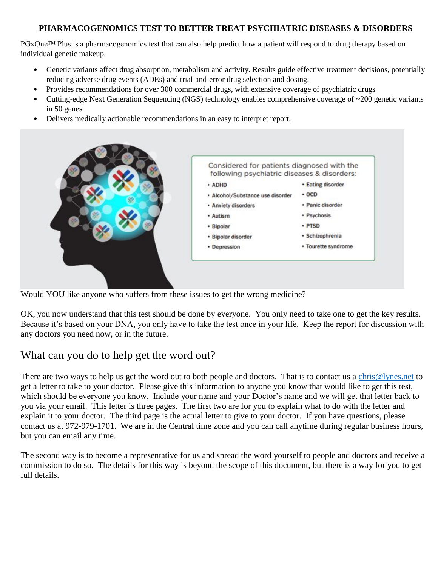### **PHARMACOGENOMICS TEST TO BETTER TREAT PSYCHIATRIC DISEASES & DISORDERS**

PGxOne<sup>™</sup> Plus is a pharmacogenomics test that can also help predict how a patient will respond to drug therapy based on individual genetic makeup.

- Genetic variants affect drug absorption, metabolism and activity. Results guide effective treatment decisions, potentially reducing adverse drug events (ADEs) and trial-and-error drug selection and dosing.
- Provides recommendations for over 300 commercial drugs, with extensive coverage of psychiatric drugs
- Cutting-edge Next Generation Sequencing (NGS) technology enables comprehensive coverage of ~200 genetic variants in 50 genes.
- Delivers medically actionable recommendations in an easy to interpret report.

| Considered for patients diagnosed with the<br>following psychiatric diseases & disorders: |                     |
|-------------------------------------------------------------------------------------------|---------------------|
| · ADHD                                                                                    | · Eating disorder   |
| · Alcohol/Substance use disorder                                                          | $-OCD$              |
| • Anxiety disorders                                                                       | · Panic disorder    |
| · Autism                                                                                  | · Psychosis         |
| • Bipolar                                                                                 | · PTSD              |
| · Bipolar disorder                                                                        | · Schizophrenia     |
| • Depression                                                                              | • Tourette syndrome |

Would YOU like anyone who suffers from these issues to get the wrong medicine?

OK, you now understand that this test should be done by everyone. You only need to take one to get the key results. Because it's based on your DNA, you only have to take the test once in your life. Keep the report for discussion with any doctors you need now, or in the future.

## What can you do to help get the word out?

There are two ways to help us get the word out to both people and doctors. That is to contact us a [chris@lynes.net](mailto:chris@lynes.net) to get a letter to take to your doctor. Please give this information to anyone you know that would like to get this test, which should be everyone you know. Include your name and your Doctor's name and we will get that letter back to you via your email. This letter is three pages. The first two are for you to explain what to do with the letter and explain it to your doctor. The third page is the actual letter to give to your doctor. If you have questions, please contact us at 972-979-1701. We are in the Central time zone and you can call anytime during regular business hours, but you can email any time.

The second way is to become a representative for us and spread the word yourself to people and doctors and receive a commission to do so. The details for this way is beyond the scope of this document, but there is a way for you to get full details.